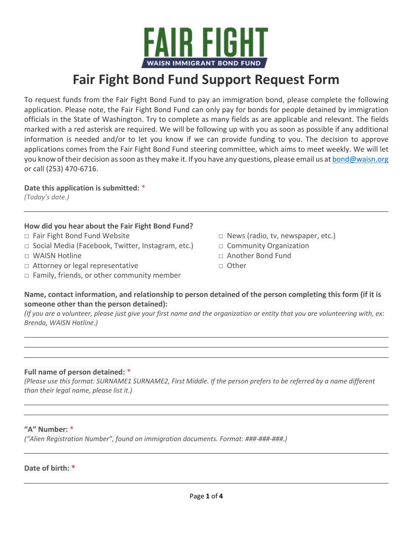

# **Fair Fight Bond Fund Support Request Form**

To request funds from the Fair Fight Bond Fund to pay an immigration bond, please complete the following application. Please note, the Fair Fight Bond Fund can only pay for bonds for people detained by immigration officials in the State of Washington. Try to complete as many fields as are applicable and relevant. The fields marked with a red asterisk are required. We will be following up with you as soon as possible if any additional information is needed and/or to let you know if we can provide funding to you. The decision to approve applications comes from the Fair Fight Bond Fund steering committee, which aims to meet weekly. We will let you know of their decision as soon as they make it. If you have any questions, please email us at [bond@waisn.org](mailto:bond@waisn.org) or call (253) 470-6716.

#### **Date this application is submitted:** \*

*(Today's date.)* 

# **How did you hear about the Fair Fight Bond Fund?**

- □ Fair Fight Bond Fund Website
- □ Social Media (Facebook, Twitter, Instagram, etc.)
- □ WAISN Hotline
- □ Attorney or legal representative
- □ Family, friends, or other community member
- □ News (radio, tv, newspaper, etc.)
- □ Community Organization
- □ Another Bond Fund
- □ Other

# **Name, contact information, and relationship to person detained of the person completing this form (if it is someone other than the person detained):**

*(If you are a volunteer, please just give your first name and the organization or entity that you are volunteering with, ex: Brenda, WAISN Hotline.)*

# **Full name of person detained:** \*

*(Please use this format: SURNAME1 SURNAME2, First Middle. If the person prefers to be referred by a name different than their legal name, please list it.)*

#### **"A" Number:** \*

*("Alien Registration Number", found on immigration documents. Format: ###-###-###.)*

#### **Date of birth: \***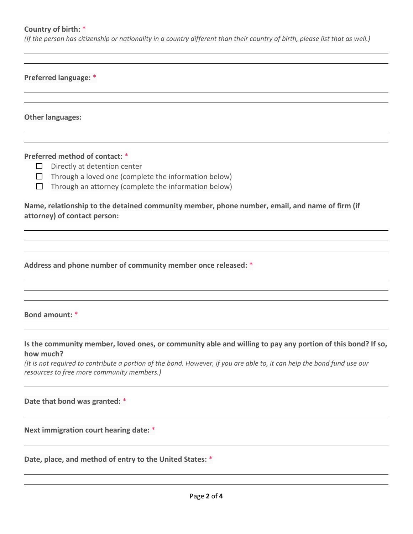**Country of birth:** \*

*(If the person has citizenship or nationality in a country different than their country of birth, please list that as well.)*

**Preferred language:** \*

**Other languages:** 

**Preferred method of contact:** \*

- $\Box$  Directly at detention center
- $\Box$  Through a loved one (complete the information below)
- $\Box$  Through an attorney (complete the information below)

**Name, relationship to the detained community member, phone number, email, and name of firm (if attorney) of contact person:**

**Address and phone number of community member once released:** \*

**Bond amount:** \*

**Is the community member, loved ones, or community able and willing to pay any portion of this bond? If so, how much?**

*(It is not required to contribute a portion of the bond. However, if you are able to, it can help the bond fund use our resources to free more community members.)*

**Date that bond was granted:** \*

**Next immigration court hearing date:** \*

**Date, place, and method of entry to the United States:** \*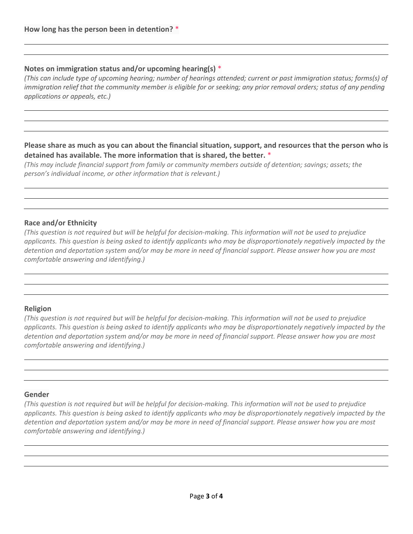# **Notes on immigration status and/or upcoming hearing(s)** \*

*(This can include type of upcoming hearing; number of hearings attended; current or past immigration status; forms(s) of immigration relief that the community member is eligible for or seeking; any prior removal orders; status of any pending applications or appeals, etc.)*

# **Please share as much as you can about the financial situation, support, and resources that the person who is detained has available. The more information that is shared, the better.** \*

*(This may include financial support from family or community members outside of detention; savings; assets; the person's individual income, or other information that is relevant.)*

# **Race and/or Ethnicity**

*(This question is not required but will be helpful for decision-making. This information will not be used to prejudice applicants. This question is being asked to identify applicants who may be disproportionately negatively impacted by the detention and deportation system and/or may be more in need of financial support. Please answer how you are most comfortable answering and identifying.)*

# **Religion**

*(This question is not required but will be helpful for decision-making. This information will not be used to prejudice applicants. This question is being asked to identify applicants who may be disproportionately negatively impacted by the detention and deportation system and/or may be more in need of financial support. Please answer how you are most comfortable answering and identifying.)*

# **Gender**

*(This question is not required but will be helpful for decision-making. This information will not be used to prejudice applicants. This question is being asked to identify applicants who may be disproportionately negatively impacted by the detention and deportation system and/or may be more in need of financial support. Please answer how you are most comfortable answering and identifying.)*